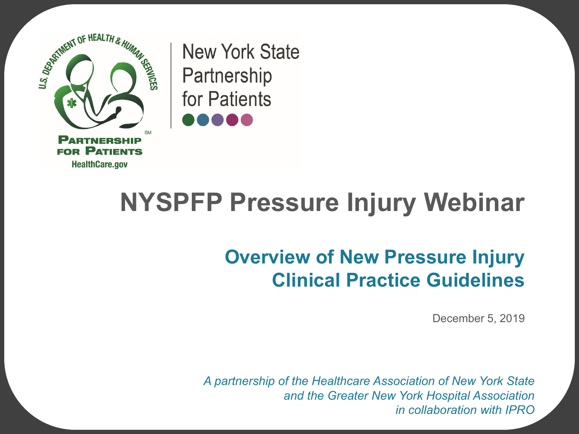

**New York State** Partnership for Patients

### **NYSPFP Pressure Injury Webinar**

#### **Overview of New Pressure Injury Clinical Practice Guidelines**

December 5, 2019

*A partnership of the Healthcare Association of New York State and the Greater New York Hospital Association in collaboration with IPRO*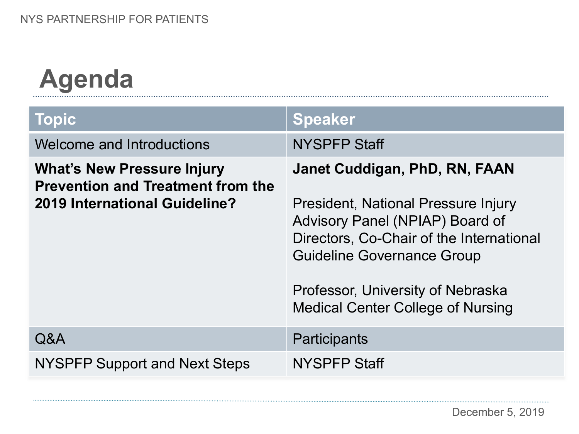# **Agenda**

| <b>Topic</b>                                                                                                   | <b>Speaker</b>                                                                                                                                                                                                                                                            |
|----------------------------------------------------------------------------------------------------------------|---------------------------------------------------------------------------------------------------------------------------------------------------------------------------------------------------------------------------------------------------------------------------|
| Welcome and Introductions                                                                                      | <b>NYSPFP Staff</b>                                                                                                                                                                                                                                                       |
| <b>What's New Pressure Injury</b><br><b>Prevention and Treatment from the</b><br>2019 International Guideline? | Janet Cuddigan, PhD, RN, FAAN<br>President, National Pressure Injury<br>Advisory Panel (NPIAP) Board of<br>Directors, Co-Chair of the International<br><b>Guideline Governance Group</b><br>Professor, University of Nebraska<br><b>Medical Center College of Nursing</b> |
| Q&A                                                                                                            | Participants                                                                                                                                                                                                                                                              |
| NYSPFP Support and Next Steps                                                                                  | <b>NYSPFP Staff</b>                                                                                                                                                                                                                                                       |

. . . . . . . . . . . . . .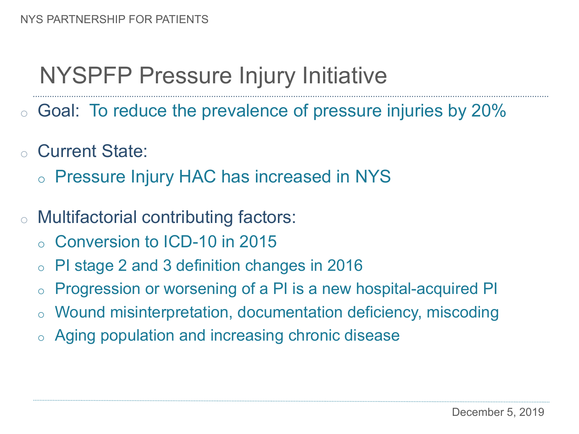### NYSPFP Pressure Injury Initiative

- o Goal: To reduce the prevalence of pressure injuries by 20%
- o Current State:
	- o Pressure Injury HAC has increased in NYS
- o Multifactorial contributing factors:
	- o Conversion to ICD-10 in 2015
	- o PI stage 2 and 3 definition changes in 2016
	- Progression or worsening of a PI is a new hospital-acquired PI
	- Wound misinterpretation, documentation deficiency, miscoding
	- o Aging population and increasing chronic disease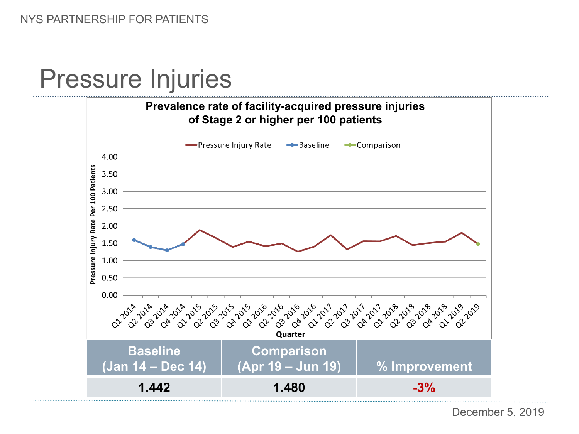### Pressure Injuries



December 5, 2019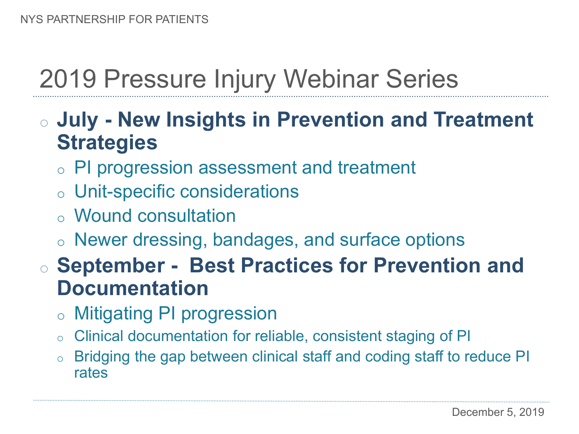### 2019 Pressure Injury Webinar Series

#### o **July - New Insights in Prevention and Treatment Strategies**

- o PI progression assessment and treatment
- o Unit-specific considerations
- o Wound consultation
- o Newer dressing, bandages, and surface options

#### o **September - Best Practices for Prevention and Documentation**

- o Mitigating PI progression
- o Clinical documentation for reliable, consistent staging of PI
- o Bridging the gap between clinical staff and coding staff to reduce PI rates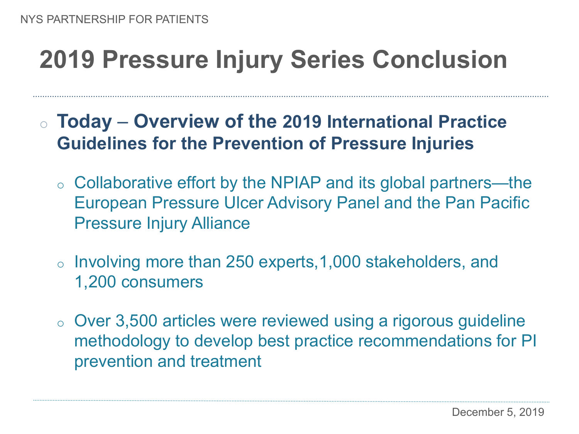## **2019 Pressure Injury Series Conclusion**

- o **Today Overview of the 2019 International Practice Guidelines for the Prevention of Pressure Injuries**
	- o Collaborative effort by the NPIAP and its global partners—the European Pressure Ulcer Advisory Panel and the Pan Pacific Pressure Injury Alliance
	- o Involving more than 250 experts,1,000 stakeholders, and 1,200 consumers
	- o Over 3,500 articles were reviewed using a rigorous guideline methodology to develop best practice recommendations for PI prevention and treatment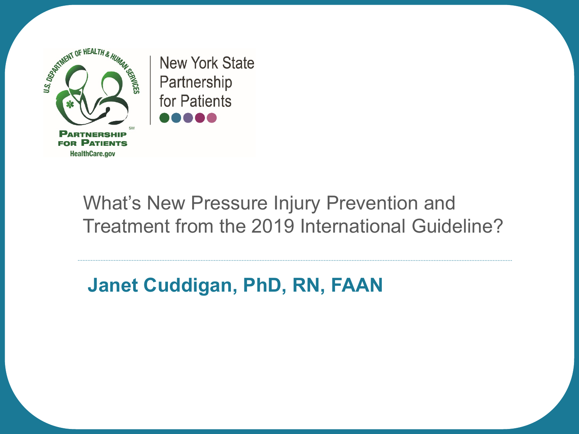

**New York State** Partnership for Patients

#### What's New Pressure Injury Prevention and Treatment from the 2019 International Guideline?

#### **Janet Cuddigan, PhD, RN, FAAN**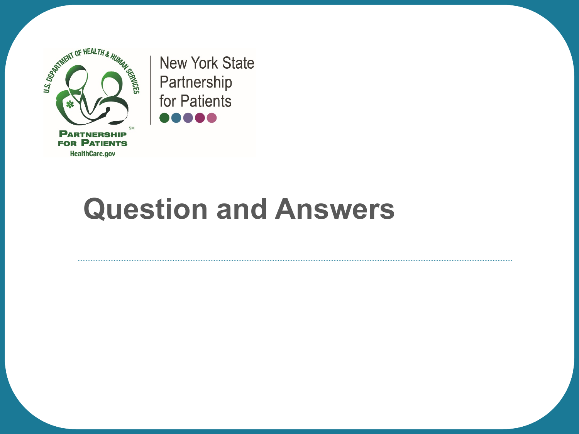

**New York State** Partnership for Patients ,,,,,

# **Question and Answers**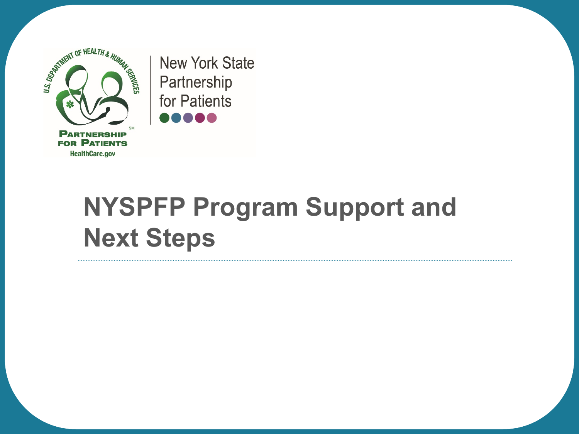

**New York State** Partnership for Patients ,,,,,

## **NYSPFP Program Support and Next Steps**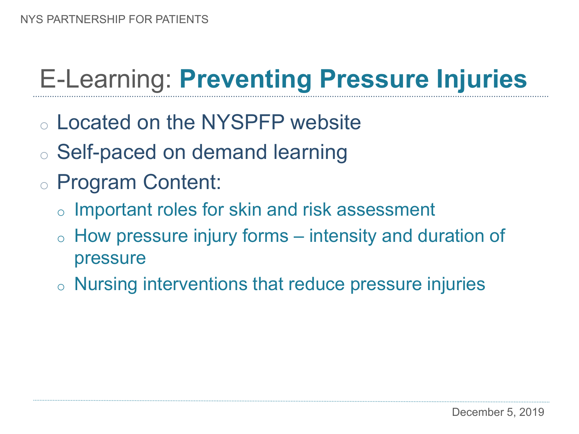## E-Learning: **Preventing Pressure Injuries**

- o Located on the NYSPFP website
- o Self-paced on demand learning
- o Program Content:
	- o Important roles for skin and risk assessment
	- $\circ$  How pressure injury forms intensity and duration of pressure
	- o Nursing interventions that reduce pressure injuries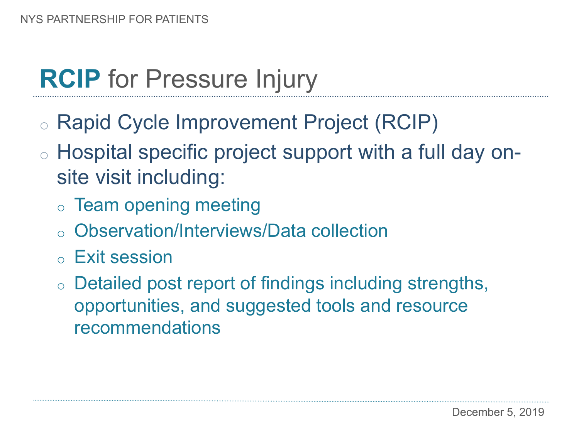## **RCIP** for Pressure Injury

- o Rapid Cycle Improvement Project (RCIP)
- o Hospital specific project support with a full day onsite visit including:
	- o Team opening meeting
	- o Observation/Interviews/Data collection
	- o Exit session
	- o Detailed post report of findings including strengths, opportunities, and suggested tools and resource recommendations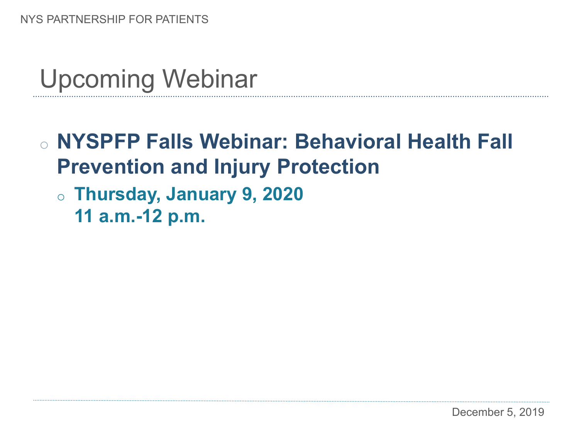### Upcoming Webinar

### o **NYSPFP Falls Webinar: Behavioral Health Fall Prevention and Injury Protection**

- o **Thursday, January 9, 2020** 
	- **11 a.m.-12 p.m.**